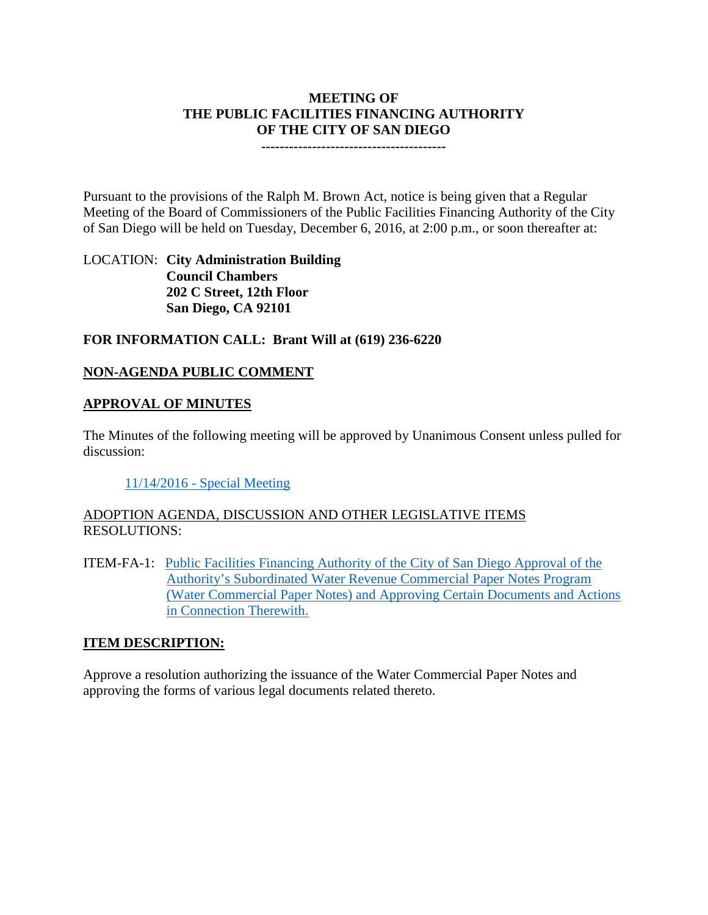### **MEETING OF THE PUBLIC FACILITIES FINANCING AUTHORITY OF THE CITY OF SAN DIEGO**

**----------------------------------------**

Pursuant to the provisions of the Ralph M. Brown Act, notice is being given that a Regular Meeting of the Board of Commissioners of the Public Facilities Financing Authority of the City of San Diego will be held on Tuesday, December 6, 2016, at 2:00 p.m., or soon thereafter at:

LOCATION: **City Administration Building Council Chambers 202 C Street, 12th Floor San Diego, CA 92101** 

## **FOR INFORMATION CALL: Brant Will at (619) 236-6220**

## **NON-AGENDA PUBLIC COMMENT**

### **APPROVAL OF MINUTES**

The Minutes of the following meeting will be approved by Unanimous Consent unless pulled for discussion:

11/14/2016 - [Special Meeting](http://www.sandiego.gov/sites/default/files/11-14-16-special.pdf)

## ADOPTION AGENDA, DISCUSSION AND OTHER LEGISLATIVE ITEMS RESOLUTIONS:

ITEM-FA-1: [Public Facilities Financing Authority of the City of San Diego Approval of the](http://www.sandiego.gov/sites/default/files/fa-1_exhibits_4.pdf)  [Authority's Subordinated Water Revenue Commercial Paper Notes Program](http://www.sandiego.gov/sites/default/files/fa-1_exhibits_4.pdf)  [\(Water Commercial Paper Notes\) and Approving Certain Documents and Actions](http://www.sandiego.gov/sites/default/files/fa-1_exhibits_4.pdf)  [in Connection Therewith.](http://www.sandiego.gov/sites/default/files/fa-1_exhibits_4.pdf)

### **ITEM DESCRIPTION:**

Approve a resolution authorizing the issuance of the Water Commercial Paper Notes and approving the forms of various legal documents related thereto.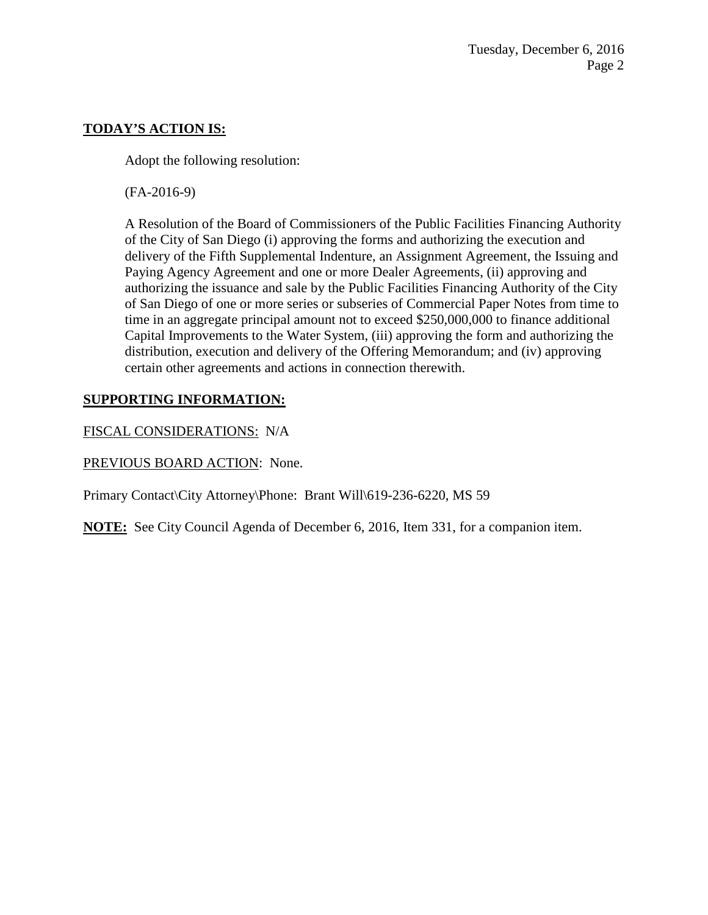## **TODAY'S ACTION IS:**

Adopt the following resolution:

(FA-2016-9)

A Resolution of the Board of Commissioners of the Public Facilities Financing Authority of the City of San Diego (i) approving the forms and authorizing the execution and delivery of the Fifth Supplemental Indenture, an Assignment Agreement, the Issuing and Paying Agency Agreement and one or more Dealer Agreements, (ii) approving and authorizing the issuance and sale by the Public Facilities Financing Authority of the City of San Diego of one or more series or subseries of Commercial Paper Notes from time to time in an aggregate principal amount not to exceed \$250,000,000 to finance additional Capital Improvements to the Water System, (iii) approving the form and authorizing the distribution, execution and delivery of the Offering Memorandum; and (iv) approving certain other agreements and actions in connection therewith.

# **SUPPORTING INFORMATION:**

FISCAL CONSIDERATIONS: N/A

PREVIOUS BOARD ACTION: None.

Primary Contact\City Attorney\Phone: Brant Will\619-236-6220, MS 59

**NOTE:** See City Council Agenda of December 6, 2016, Item 331, for a companion item.